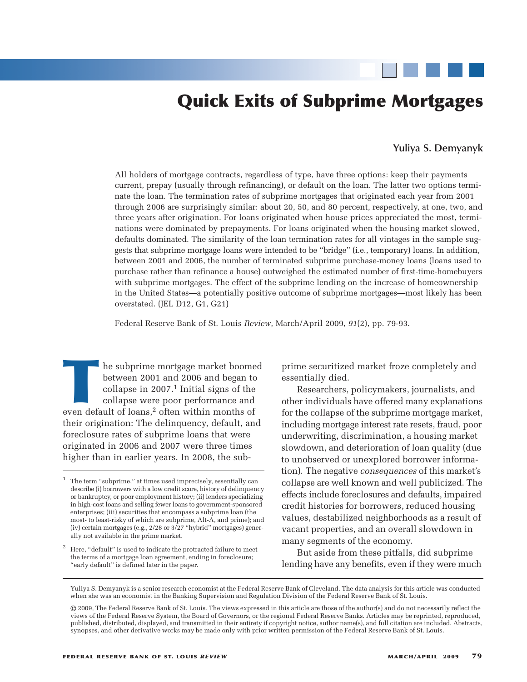# **Quick Exits of Subprime Mortgages**

## **Yuliya S. Demyanyk**

All holders of mortgage contracts, regardless of type, have three options: keep their payments current, prepay (usually through refinancing), or default on the loan. The latter two options terminate the loan. The termination rates of subprime mortgages that originated each year from 2001 through 2006 are surprisingly similar: about 20, 50, and 80 percent, respectively, at one, two, and three years after origination. For loans originated when house prices appreciated the most, terminations were dominated by prepayments. For loans originated when the housing market slowed, defaults dominated. The similarity of the loan termination rates for all vintages in the sample suggests that subprime mortgage loans were intended to be "bridge" (i.e., temporary) loans. In addition, between 2001 and 2006, the number of terminated subprime purchase-money loans (loans used to purchase rather than refinance a house) outweighed the estimated number of first-time-homebuyers with subprime mortgages. The effect of the subprime lending on the increase of homeownership in the United States—a potentially positive outcome of subprime mortgages—most likely has been overstated. (JEL D12, G1, G21)

Federal Reserve Bank of St. Louis *Review*, March/April 2009, *91*(2), pp. 79-93.

The subprime mortgage market boomed<br>between 2001 and 2006 and began to<br>collapse in 2007.<sup>1</sup> Initial signs of the<br>collapse were poor performance and<br>even default of loans,<sup>2</sup> often within months of between 2001 and 2006 and began to collapse in  $2007<sup>1</sup>$  Initial signs of the collapse were poor performance and their origination: The delinquency, default, and foreclosure rates of subprime loans that were originated in 2006 and 2007 were three times higher than in earlier years. In 2008, the sub-

prime securitized market froze completely and essentially died.

Researchers, policymakers, journalists, and other individuals have offered many explanations for the collapse of the subprime mortgage market, including mortgage interest rate resets, fraud, poor underwriting, discrimination, a housing market slowdown, and deterioration of loan quality (due to unobserved or unexplored borrower information). The negative *consequences* of this market's collapse are well known and well publicized. The effects include foreclosures and defaults, impaired credit histories for borrowers, reduced housing values, destabilized neighborhoods as a result of vacant properties, and an overall slowdown in many segments of the economy.

But aside from these pitfalls, did subprime lending have any benefits, even if they were much

<sup>1</sup> The term "subprime," at times used imprecisely, essentially can describe (i) borrowers with a low credit score, history of delinquency or bankruptcy, or poor employment history; (ii) lenders specializing in high-cost loans and selling fewer loans to government-sponsored enterprises; (iii) securities that encompass a subprime loan (the most- to least-risky of which are subprime, Alt-A, and prime); and (iv) certain mortgages (e.g., 2/28 or 3/27 "hybrid" mortgages) generally not available in the prime market.

<sup>2</sup> Here, "default" is used to indicate the protracted failure to meet the terms of a mortgage loan agreement, ending in foreclosure; "early default" is defined later in the paper.

Yuliya S. Demyanyk is a senior research economist at the Federal Reserve Bank of Cleveland. The data analysis for this article was conducted when she was an economist in the Banking Supervision and Regulation Division of the Federal Reserve Bank of St. Louis.

<sup>©</sup> 2009, The Federal Reserve Bank of St. Louis. The views expressed in this article are those of the author(s) and do not necessarily reflect the views of the Federal Reserve System, the Board of Governors, or the regional Federal Reserve Banks. Articles may be reprinted, reproduced, published, distributed, displayed, and transmitted in their entirety if copyright notice, author name(s), and full citation are included. Abstracts, synopses, and other derivative works may be made only with prior written permission of the Federal Reserve Bank of St. Louis.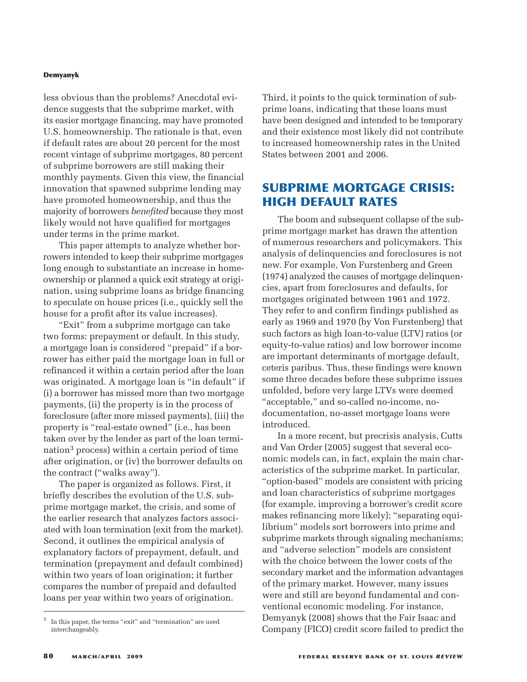less obvious than the problems? Anecdotal evidence suggests that the subprime market, with its easier mortgage financing, may have promoted U.S. homeownership. The rationale is that, even if default rates are about 20 percent for the most recent vintage of subprime mortgages, 80 percent of subprime borrowers are still making their monthly payments. Given this view, the financial innovation that spawned subprime lending may have promoted homeownership, and thus the majority of borrowers *benefited* because they most likely would not have qualified for mortgages under terms in the prime market.

This paper attempts to analyze whether borrowers intended to keep their subprime mortgages long enough to substantiate an increase in homeownership or planned a quick exit strategy at origination, using subprime loans as bridge financing to speculate on house prices (i.e., quickly sell the house for a profit after its value increases).

"Exit" from a subprime mortgage can take two forms: prepayment or default. In this study, a mortgage loan is considered "prepaid" if a borrower has either paid the mortgage loan in full or refinanced it within a certain period after the loan was originated. A mortgage loan is "in default" if (i) a borrower has missed more than two mortgage payments, (ii) the property is in the process of foreclosure (after more missed payments), (iii) the property is "real-estate owned" (i.e., has been taken over by the lender as part of the loan termination<sup>3</sup> process) within a certain period of time after origination, or (iv) the borrower defaults on the contract ("walks away").

The paper is organized as follows. First, it briefly describes the evolution of the U.S. subprime mortgage market, the crisis, and some of the earlier research that analyzes factors associated with loan termination (exit from the market). Second, it outlines the empirical analysis of explanatory factors of prepayment, default, and termination (prepayment and default combined) within two years of loan origination; it further compares the number of prepaid and defaulted loans per year within two years of origination.

Third, it points to the quick termination of subprime loans, indicating that these loans must have been designed and intended to be temporary and their existence most likely did not contribute to increased homeownership rates in the United States between 2001 and 2006.

# **SUBPRIME MORTGAGE CRISIS: HIGH DEFAULT RATES**

The boom and subsequent collapse of the subprime mortgage market has drawn the attention of numerous researchers and policymakers. This analysis of delinquencies and foreclosures is not new. For example, Von Furstenberg and Green (1974) analyzed the causes of mortgage delinquencies, apart from foreclosures and defaults, for mortgages originated between 1961 and 1972. They refer to and confirm findings published as early as 1969 and 1970 (by Von Furstenberg) that such factors as high loan-to-value (LTV) ratios (or equity-to-value ratios) and low borrower income are important determinants of mortgage default, ceteris paribus. Thus, these findings were known some three decades before these subprime issues unfolded, before very large LTVs were deemed "acceptable," and so-called no-income, nodocumentation, no-asset mortgage loans were introduced.

In a more recent, but precrisis analysis, Cutts and Van Order (2005) suggest that several economic models can, in fact, explain the main characteristics of the subprime market. In particular, "option-based" models are consistent with pricing and loan characteristics of subprime mortgages (for example, improving a borrower's credit score makes refinancing more likely); "separating equilibrium" models sort borrowers into prime and subprime markets through signaling mechanisms; and "adverse selection" models are consistent with the choice between the lower costs of the secondary market and the information advantages of the primary market. However, many issues were and still are beyond fundamental and conventional economic modeling. For instance, Demyanyk (2008) shows that the Fair Isaac and Company (FICO) credit score failed to predict the

In this paper, the terms "exit" and "termination" are used interchangeably.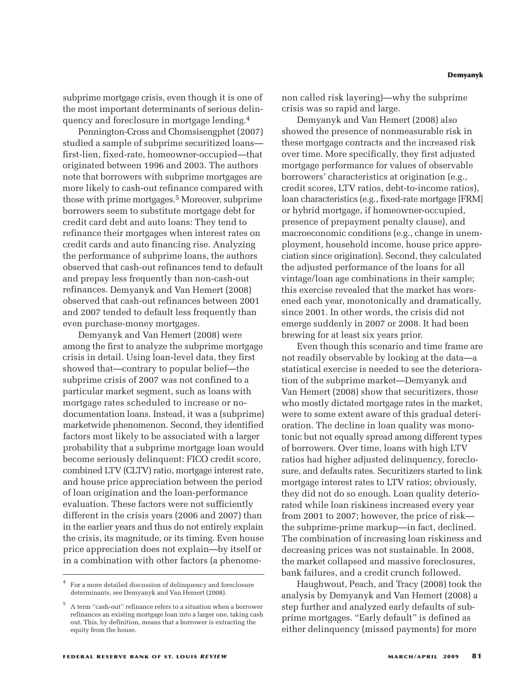subprime mortgage crisis, even though it is one of the most important determinants of serious delinquency and foreclosure in mortgage lending.4

Pennington-Cross and Chomsisengphet (2007) studied a sample of subprime securitized loans first-lien, fixed-rate, homeowner-occupied—that originated between 1996 and 2003. The authors note that borrowers with subprime mortgages are more likely to cash-out refinance compared with those with prime mortgages.5 Moreover, subprime borrowers seem to substitute mortgage debt for credit card debt and auto loans: They tend to refinance their mortgages when interest rates on credit cards and auto financing rise. Analyzing the performance of subprime loans, the authors observed that cash-out refinances tend to default and prepay less frequently than non-cash-out refinances. Demyanyk and Van Hemert (2008) observed that cash-out refinances between 2001 and 2007 tended to default less frequently than even purchase-money mortgages.

Demyanyk and Van Hemert (2008) were among the first to analyze the subprime mortgage crisis in detail. Using loan-level data, they first showed that—contrary to popular belief—the subprime crisis of 2007 was not confined to a particular market segment, such as loans with mortgage rates scheduled to increase or nodocumentation loans. Instead, it was a (subprime) marketwide phenomenon. Second, they identified factors most likely to be associated with a larger probability that a subprime mortgage loan would become seriously delinquent: FICO credit score, combined LTV (CLTV) ratio, mortgage interest rate, and house price appreciation between the period of loan origination and the loan-performance evaluation. These factors were not sufficiently different in the crisis years (2006 and 2007) than in the earlier years and thus do not entirely explain the crisis, its magnitude, or its timing. Even house price appreciation does not explain—by itself or in a combination with other factors (a phenomenon called risk layering)—why the subprime crisis was so rapid and large.

Demyanyk and Van Hemert (2008) also showed the presence of nonmeasurable risk in these mortgage contracts and the increased risk over time. More specifically, they first adjusted mortgage performance for values of observable borrowers' characteristics at origination (e.g., credit scores, LTV ratios, debt-to-income ratios), loan characteristics (e.g., fixed-rate mortgage [FRM] or hybrid mortgage, if homeowner-occupied, presence of prepayment penalty clause), and macroeconomic conditions (e.g., change in unemployment, household income, house price appreciation since origination). Second, they calculated the adjusted performance of the loans for all vintage/loan age combinations in their sample; this exercise revealed that the market has worsened each year, monotonically and dramatically, since 2001. In other words, the crisis did not emerge suddenly in 2007 or 2008. It had been brewing for at least six years prior.

Even though this scenario and time frame are not readily observable by looking at the data—a statistical exercise is needed to see the deterioration of the subprime market—Demyanyk and Van Hemert (2008) show that securitizers, those who mostly dictated mortgage rates in the market, were to some extent aware of this gradual deterioration. The decline in loan quality was monotonic but not equally spread among different types of borrowers. Over time, loans with high LTV ratios had higher adjusted delinquency, foreclosure, and defaults rates. Securitizers started to link mortgage interest rates to LTV ratios; obviously, they did not do so enough. Loan quality deteriorated while loan riskiness increased every year from 2001 to 2007; however, the price of risk the subprime-prime markup—in fact, declined. The combination of increasing loan riskiness and decreasing prices was not sustainable. In 2008, the market collapsed and massive foreclosures, bank failures, and a credit crunch followed.

Haughwout, Peach, and Tracy (2008) took the analysis by Demyanyk and Van Hemert (2008) a step further and analyzed early defaults of subprime mortgages. "Early default" is defined as either delinquency (missed payments) for more

<sup>4</sup> For a more detailed discussion of delinquency and foreclosure determinants, see Demyanyk and Van Hemert (2008).

<sup>5</sup> A term "cash-out" refinance refers to a situation when a borrower refinances an existing mortgage loan into a larger one, taking cash out. This, by definition, means that a borrower is extracting the equity from the house.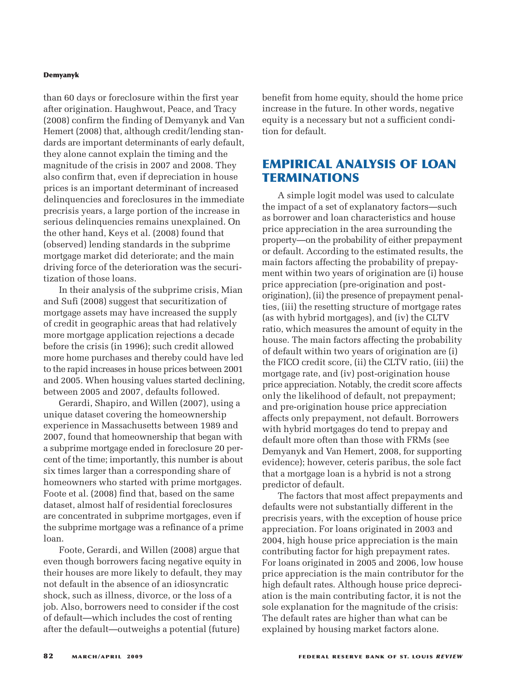than 60 days or foreclosure within the first year after origination. Haughwout, Peace, and Tracy (2008) confirm the finding of Demyanyk and Van Hemert (2008) that, although credit/lending standards are important determinants of early default, they alone cannot explain the timing and the magnitude of the crisis in 2007 and 2008. They also confirm that, even if depreciation in house prices is an important determinant of increased delinquencies and foreclosures in the immediate precrisis years, a large portion of the increase in serious delinquencies remains unexplained. On the other hand, Keys et al. (2008) found that (observed) lending standards in the subprime mortgage market did deteriorate; and the main driving force of the deterioration was the securitization of those loans.

In their analysis of the subprime crisis, Mian and Sufi (2008) suggest that securitization of mortgage assets may have increased the supply of credit in geographic areas that had relatively more mortgage application rejections a decade before the crisis (in 1996); such credit allowed more home purchases and thereby could have led to the rapid increases in house prices between 2001 and 2005. When housing values started declining, between 2005 and 2007, defaults followed.

Gerardi, Shapiro, and Willen (2007), using a unique dataset covering the homeownership experience in Massachusetts between 1989 and 2007, found that homeownership that began with a subprime mortgage ended in foreclosure 20 percent of the time; importantly, this number is about six times larger than a corresponding share of homeowners who started with prime mortgages. Foote et al. (2008) find that, based on the same dataset, almost half of residential foreclosures are concentrated in subprime mortgages, even if the subprime mortgage was a refinance of a prime loan.

Foote, Gerardi, and Willen (2008) argue that even though borrowers facing negative equity in their houses are more likely to default, they may not default in the absence of an idiosyncratic shock, such as illness, divorce, or the loss of a job. Also, borrowers need to consider if the cost of default—which includes the cost of renting after the default—outweighs a potential (future)

benefit from home equity, should the home price increase in the future. In other words, negative equity is a necessary but not a sufficient condition for default.

# **EMPIRICAL ANALYSIS OF LOAN TERMINATIONS**

A simple logit model was used to calculate the impact of a set of explanatory factors—such as borrower and loan characteristics and house price appreciation in the area surrounding the property—on the probability of either prepayment or default. According to the estimated results, the main factors affecting the probability of prepayment within two years of origination are (i) house price appreciation (pre-origination and postorigination), (ii) the presence of prepayment penalties, (iii) the resetting structure of mortgage rates (as with hybrid mortgages), and (iv) the CLTV ratio, which measures the amount of equity in the house. The main factors affecting the probability of default within two years of origination are (i) the FICO credit score, (ii) the CLTV ratio, (iii) the mortgage rate, and (iv) post-origination house price appreciation. Notably, the credit score affects only the likelihood of default, not prepayment; and pre-origination house price appreciation affects only prepayment, not default. Borrowers with hybrid mortgages do tend to prepay and default more often than those with FRMs (see Demyanyk and Van Hemert, 2008, for supporting evidence); however, ceteris paribus, the sole fact that a mortgage loan is a hybrid is not a strong predictor of default.

The factors that most affect prepayments and defaults were not substantially different in the precrisis years, with the exception of house price appreciation. For loans originated in 2003 and 2004, high house price appreciation is the main contributing factor for high prepayment rates. For loans originated in 2005 and 2006, low house price appreciation is the main contributor for the high default rates. Although house price depreciation is the main contributing factor, it is not the sole explanation for the magnitude of the crisis: The default rates are higher than what can be explained by housing market factors alone.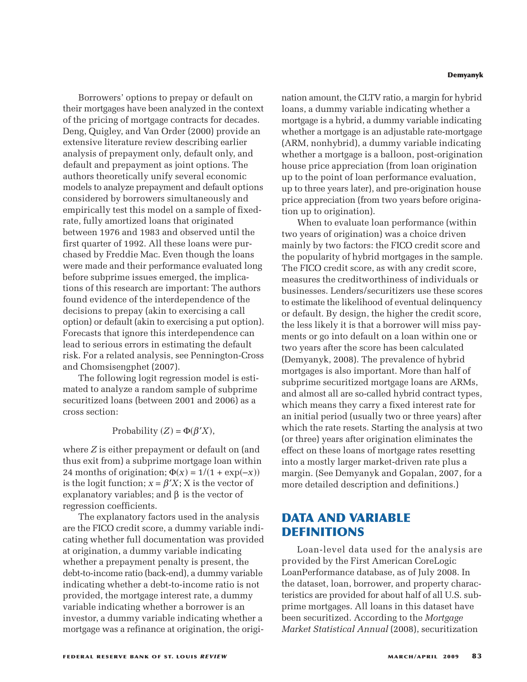Borrowers' options to prepay or default on their mortgages have been analyzed in the context of the pricing of mortgage contracts for decades. Deng, Quigley, and Van Order (2000) provide an extensive literature review describing earlier analysis of prepayment only, default only, and default and prepayment as joint options. The authors theoretically unify several economic models to analyze prepayment and default options considered by borrowers simultaneously and empirically test this model on a sample of fixedrate, fully amortized loans that originated between 1976 and 1983 and observed until the first quarter of 1992. All these loans were purchased by Freddie Mac. Even though the loans were made and their performance evaluated long before subprime issues emerged, the implications of this research are important: The authors found evidence of the interdependence of the decisions to prepay (akin to exercising a call option) or default (akin to exercising a put option). Forecasts that ignore this interdependence can lead to serious errors in estimating the default risk. For a related analysis, see Pennington-Cross and Chomsisengphet (2007).

The following logit regression model is estimated to analyze a random sample of subprime securitized loans (between 2001 and 2006) as a cross section:

## Probability  $(Z) = \Phi(\beta'X)$ ,

where *Z* is either prepayment or default on (and thus exit from) a subprime mortgage loan within 24 months of origination;  $\Phi(x) = 1/(1 + \exp(-x))$ is the logit function;  $x = \beta' X$ ; X is the vector of explanatory variables; and  $\beta$  is the vector of regression coefficients.

The explanatory factors used in the analysis are the FICO credit score, a dummy variable indicating whether full documentation was provided at origination, a dummy variable indicating whether a prepayment penalty is present, the debt-to-income ratio (back-end), a dummy variable indicating whether a debt-to-income ratio is not provided, the mortgage interest rate, a dummy variable indicating whether a borrower is an investor, a dummy variable indicating whether a mortgage was a refinance at origination, the origi**Demyanyk**

nation amount, the CLTV ratio, a margin for hybrid loans, a dummy variable indicating whether a mortgage is a hybrid, a dummy variable indicating whether a mortgage is an adjustable rate-mortgage (ARM, nonhybrid), a dummy variable indicating whether a mortgage is a balloon, post-origination house price appreciation (from loan origination up to the point of loan performance evaluation, up to three years later), and pre-origination house price appreciation (from two years before origination up to origination).

When to evaluate loan performance (within two years of origination) was a choice driven mainly by two factors: the FICO credit score and the popularity of hybrid mortgages in the sample. The FICO credit score, as with any credit score, measures the creditworthiness of individuals or businesses. Lenders/securitizers use these scores to estimate the likelihood of eventual delinquency or default. By design, the higher the credit score, the less likely it is that a borrower will miss payments or go into default on a loan within one or two years after the score has been calculated (Demyanyk, 2008). The prevalence of hybrid mortgages is also important. More than half of subprime securitized mortgage loans are ARMs, and almost all are so-called hybrid contract types, which means they carry a fixed interest rate for an initial period (usually two or three years) after which the rate resets. Starting the analysis at two (or three) years after origination eliminates the effect on these loans of mortgage rates resetting into a mostly larger market-driven rate plus a margin. (See Demyanyk and Gopalan, 2007, for a more detailed description and definitions.)

# **DATA AND VARIABLE DEFINITIONS**

Loan-level data used for the analysis are provided by the First American CoreLogic LoanPerformance database, as of July 2008. In the dataset, loan, borrower, and property characteristics are provided for about half of all U.S. subprime mortgages. All loans in this dataset have been securitized. According to the *Mortgage Market Statistical Annual* (2008), securitization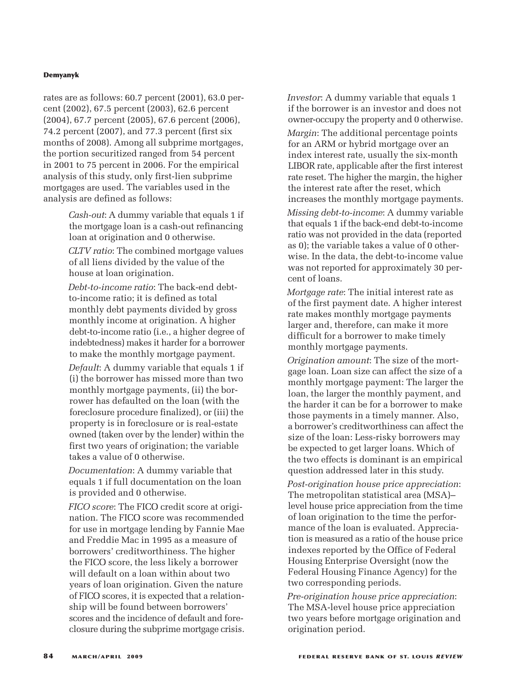rates are as follows: 60.7 percent (2001), 63.0 percent (2002), 67.5 percent (2003), 62.6 percent (2004), 67.7 percent (2005), 67.6 percent (2006), 74.2 percent (2007), and 77.3 percent (first six months of 2008). Among all subprime mortgages, the portion securitized ranged from 54 percent in 2001 to 75 percent in 2006. For the empirical analysis of this study, only first-lien subprime mortgages are used. The variables used in the analysis are defined as follows:

> *Cash-out*: A dummy variable that equals 1 if the mortgage loan is a cash-out refinancing loan at origination and 0 otherwise.

> *CLTV ratio*: The combined mortgage values of all liens divided by the value of the house at loan origination.

*Debt-to-income ratio*: The back-end debtto-income ratio; it is defined as total monthly debt payments divided by gross monthly income at origination. A higher debt-to-income ratio (i.e., a higher degree of indebtedness) makes it harder for a borrower to make the monthly mortgage payment.

*Default*: A dummy variable that equals 1 if (i) the borrower has missed more than two monthly mortgage payments, (ii) the borrower has defaulted on the loan (with the foreclosure procedure finalized), or (iii) the property is in foreclosure or is real-estate owned (taken over by the lender) within the first two years of origination; the variable takes a value of 0 otherwise.

*Documentation*: A dummy variable that equals 1 if full documentation on the loan is provided and 0 otherwise.

*FICO score*: The FICO credit score at origination. The FICO score was recommended for use in mortgage lending by Fannie Mae and Freddie Mac in 1995 as a measure of borrowers' creditworthiness. The higher the FICO score, the less likely a borrower will default on a loan within about two years of loan origination. Given the nature of FICO scores, it is expected that a relationship will be found between borrowers' scores and the incidence of default and foreclosure during the subprime mortgage crisis. *Investor*: A dummy variable that equals 1 if the borrower is an investor and does not owner-occupy the property and 0 otherwise.

*Margin*: The additional percentage points for an ARM or hybrid mortgage over an index interest rate, usually the six-month LIBOR rate, applicable after the first interest rate reset. The higher the margin, the higher the interest rate after the reset, which increases the monthly mortgage payments.

*Missing debt-to-income*: A dummy variable that equals 1 if the back-end debt-to-income ratio was not provided in the data (reported as 0); the variable takes a value of 0 otherwise. In the data, the debt-to-income value was not reported for approximately 30 percent of loans.

*Mortgage rate*: The initial interest rate as of the first payment date. A higher interest rate makes monthly mortgage payments larger and, therefore, can make it more difficult for a borrower to make timely monthly mortgage payments.

*Origination amount*: The size of the mortgage loan. Loan size can affect the size of a monthly mortgage payment: The larger the loan, the larger the monthly payment, and the harder it can be for a borrower to make those payments in a timely manner. Also, a borrower's creditworthiness can affect the size of the loan: Less-risky borrowers may be expected to get larger loans. Which of the two effects is dominant is an empirical question addressed later in this study.

*Post-origination house price appreciation*: The metropolitan statistical area (MSA)– level house price appreciation from the time of loan origination to the time the perfor mance of the loan is evaluated. Appreciation is measured as a ratio of the house price indexes reported by the Office of Federal Housing Enterprise Oversight (now the Federal Housing Finance Agency) for the two corresponding periods.

*Pre-origination house price appreciation*: The MSA-level house price appreciation two years before mortgage origination and origination period.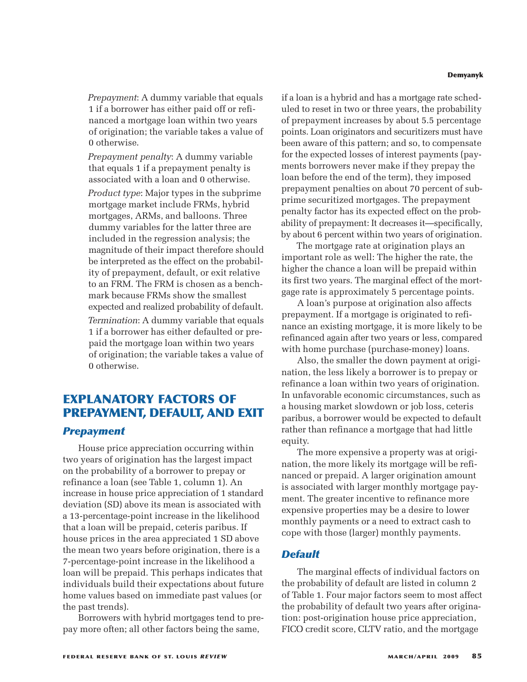*Prepayment*: A dummy variable that equals 1 if a borrower has either paid off or refinanced a mortgage loan within two years of origination; the variable takes a value of 0 otherwise.

*Prepayment penalty*: A dummy variable that equals 1 if a prepayment penalty is associated with a loan and 0 otherwise.

*Product type*: Major types in the subprime mortgage market include FRMs, hybrid mortgages, ARMs, and balloons. Three dummy variables for the latter three are included in the regression analysis; the magnitude of their impact therefore should be interpreted as the effect on the probability of prepayment, default, or exit relative to an FRM. The FRM is chosen as a benchmark because FRMs show the smallest expected and realized probability of default.

*Termination*: A dummy variable that equals 1 if a borrower has either defaulted or prepaid the mortgage loan within two years of origination; the variable takes a value of 0 otherwise.

# **EXPLANATORY FACTORS OF PREPAYMENT, DEFAULT, AND EXIT**

## *Prepayment*

House price appreciation occurring within two years of origination has the largest impact on the probability of a borrower to prepay or refinance a loan (see Table 1, column 1). An increase in house price appreciation of 1 standard deviation (SD) above its mean is associated with a 13-percentage-point increase in the likelihood that a loan will be prepaid, ceteris paribus. If house prices in the area appreciated 1 SD above the mean two years before origination, there is a 7-percentage-point increase in the likelihood a loan will be prepaid. This perhaps indicates that individuals build their expectations about future home values based on immediate past values (or the past trends).

Borrowers with hybrid mortgages tend to prepay more often; all other factors being the same,

if a loan is a hybrid and has a mortgage rate scheduled to reset in two or three years, the probability of prepayment increases by about 5.5 percentage points. Loan originators and securitizers must have been aware of this pattern; and so, to compensate for the expected losses of interest payments (payments borrowers never make if they prepay the loan before the end of the term), they imposed prepayment penalties on about 70 percent of subprime securitized mortgages. The prepayment penalty factor has its expected effect on the probability of prepayment: It decreases it—specifically, by about 6 percent within two years of origination.

The mortgage rate at origination plays an important role as well: The higher the rate, the higher the chance a loan will be prepaid within its first two years. The marginal effect of the mortgage rate is approximately 5 percentage points.

A loan's purpose at origination also affects prepayment. If a mortgage is originated to refinance an existing mortgage, it is more likely to be refinanced again after two years or less, compared with home purchase (purchase-money) loans.

Also, the smaller the down payment at origination, the less likely a borrower is to prepay or refinance a loan within two years of origination. In unfavorable economic circumstances, such as a housing market slowdown or job loss, ceteris paribus, a borrower would be expected to default rather than refinance a mortgage that had little equity.

The more expensive a property was at origination, the more likely its mortgage will be refinanced or prepaid. A larger origination amount is associated with larger monthly mortgage payment. The greater incentive to refinance more expensive properties may be a desire to lower monthly payments or a need to extract cash to cope with those (larger) monthly payments.

## *Default*

The marginal effects of individual factors on the probability of default are listed in column 2 of Table 1. Four major factors seem to most affect the probability of default two years after origination: post-origination house price appreciation, FICO credit score, CLTV ratio, and the mortgage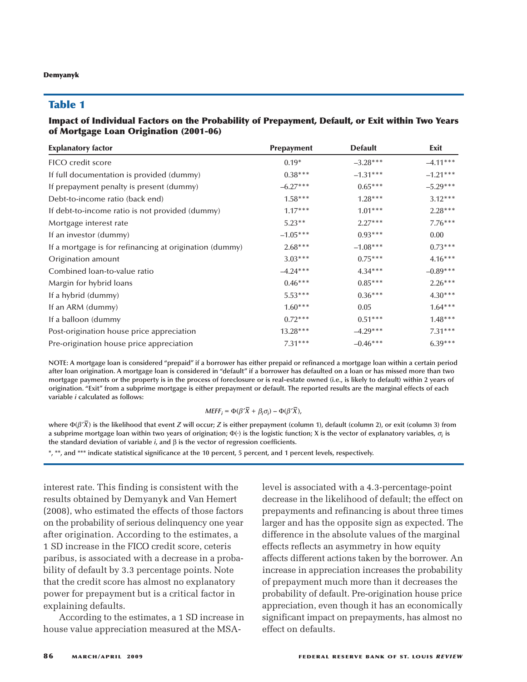## **Table 1**

#### **Impact of Individual Factors on the Probability of Prepayment, Default, or Exit within Two Years of Mortgage Loan Origination (2001-06)**

| <b>Explanatory factor</b>                               | <b>Prepayment</b> | <b>Default</b> | Exit       |
|---------------------------------------------------------|-------------------|----------------|------------|
| FICO credit score                                       | $0.19*$           | $-3.28***$     | $-4.11***$ |
| If full documentation is provided (dummy)               | $0.38***$         | $-1.31***$     | $-1.21***$ |
| If prepayment penalty is present (dummy)                | $-6.27***$        | $0.65***$      | $-5.29***$ |
| Debt-to-income ratio (back end)                         | $1.58***$         | $1.28***$      | $3.12***$  |
| If debt-to-income ratio is not provided (dummy)         | $1.17***$         | $1.01***$      | $2.28***$  |
| Mortgage interest rate                                  | $5.23**$          | $2.27***$      | $7.76***$  |
| If an investor (dummy)                                  | $-1.05***$        | $0.93***$      | 0.00       |
| If a mortgage is for refinancing at origination (dummy) | $2.68***$         | $-1.08***$     | $0.73***$  |
| Origination amount                                      | $3.03***$         | $0.75***$      | $4.16***$  |
| Combined loan-to-value ratio                            | $-4.24***$        | $4.34***$      | $-0.89***$ |
| Margin for hybrid loans                                 | $0.46***$         | $0.85***$      | $2.26***$  |
| If a hybrid (dummy)                                     | $5.53***$         | $0.36***$      | $4.30***$  |
| If an ARM (dummy)                                       | $1.60***$         | 0.05           | $1.64***$  |
| If a balloon (dummy                                     | $0.72***$         | $0.51***$      | $1.48***$  |
| Post-origination house price appreciation               | 13.28***          | $-4.29***$     | $7.31***$  |
| Pre-origination house price appreciation                | $7.31***$         | $-0.46***$     | $6.39***$  |

**NOTE: A mortgage loan is considered "prepaid" if a borrower has either prepaid or refinanced a mortgage loan within a certain period after loan origination. A mortgage loan is considered in "default" if a borrower has defaulted on a loan or has missed more than two mortgage payments or the property is in the process of foreclosure or is real-estate owned (i.e., is likely to default) within 2 years of origination. "Exit" from a subprime mortgage is either prepayment or default. The reported results are the marginal effects of each variable** *i* **calculated as follows:**

$$
MEFF_i = \Phi(\beta'\overline{X} + \beta_i\sigma_i) - \Phi(\beta'\overline{X}),
$$

**where** Φ**(**β ′*X* **–) is the likelihood that event** *<sup>Z</sup>* **will occur;** *<sup>Z</sup>* **is either prepayment (column 1), default (column 2), or exit (column 3) from a subprime mortgage loan within two years of origination;** <sup>Φ</sup>**(.) is the logistic function; X is the vector of explanatory variables,** <sup>σ</sup>*<sup>i</sup>* **is the standard deviation of variable** *i***, and** β **is the vector of regression coefficients.**

**\*, \*\*, and \*\*\* indicate statistical significance at the 10 percent, 5 percent, and 1 percent levels, respectively.**

interest rate. This finding is consistent with the results obtained by Demyanyk and Van Hemert (2008), who estimated the effects of those factors on the probability of serious delinquency one year after origination. According to the estimates, a 1 SD increase in the FICO credit score, ceteris paribus, is associated with a decrease in a probability of default by 3.3 percentage points. Note that the credit score has almost no explanatory power for prepayment but is a critical factor in explaining defaults.

According to the estimates, a 1 SD increase in house value appreciation measured at the MSA-

level is associated with a 4.3-percentage-point decrease in the likelihood of default; the effect on prepayments and refinancing is about three times larger and has the opposite sign as expected. The difference in the absolute values of the marginal effects reflects an asymmetry in how equity affects different actions taken by the borrower. An increase in appreciation increases the probability of prepayment much more than it decreases the probability of default. Pre-origination house price appreciation, even though it has an economically significant impact on prepayments, has almost no effect on defaults.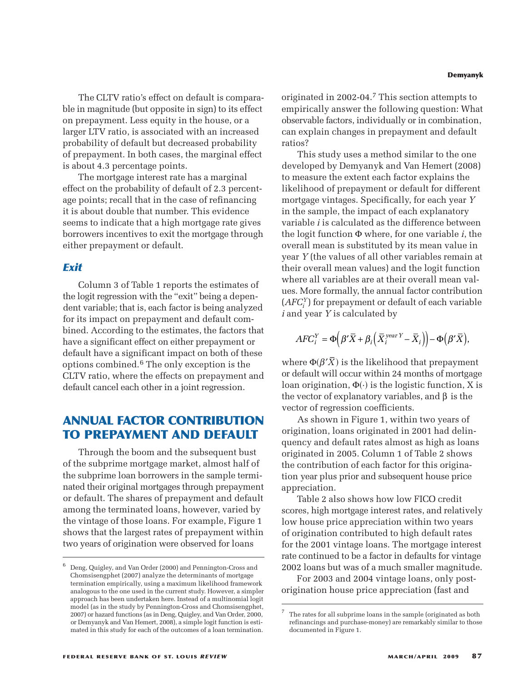The CLTV ratio's effect on default is comparable in magnitude (but opposite in sign) to its effect on prepayment. Less equity in the house, or a larger LTV ratio, is associated with an increased probability of default but decreased probability of prepayment. In both cases, the marginal effect is about 4.3 percentage points.

The mortgage interest rate has a marginal effect on the probability of default of 2.3 percentage points; recall that in the case of refinancing it is about double that number. This evidence seems to indicate that a high mortgage rate gives borrowers incentives to exit the mortgage through either prepayment or default.

## *Exit*

Column 3 of Table 1 reports the estimates of the logit regression with the "exit" being a depen dent variable; that is, each factor is being analyzed for its impact on prepayment and default combined. According to the estimates, the factors that have a significant effect on either prepayment or default have a significant impact on both of these options combined.6 The only exception is the CLTV ratio, where the effects on prepayment and default cancel each other in a joint regression.

# **ANNUAL FACTOR CONTRIBUTION TO PREPAYMENT AND DEFAULT**

Through the boom and the subsequent bust of the subprime mortgage market, almost half of the subprime loan borrowers in the sample terminated their original mortgages through prepayment or default. The shares of prepayment and default among the terminated loans, however, varied by the vintage of those loans. For example, Figure 1 shows that the largest rates of prepayment within two years of origination were observed for loans

originated in 2002-04.7 This section attempts to empirically answer the following question: What observable factors, individually or in combination, can explain changes in prepayment and default ratios?

This study uses a method similar to the one developed by Demyanyk and Van Hemert (2008) to measure the extent each factor explains the likelihood of prepayment or default for different mortgage vintages. Specifically, for each year *Y* in the sample, the impact of each explanatory variable *i* is calculated as the difference between the logit function Φ where, for one variable *i*, the overall mean is substituted by its mean value in year *Y* (the values of all other variables remain at their overall mean values) and the logit function where all variables are at their overall mean values. More formally, the annual factor contribution (*AFCi <sup>Y</sup>*) for prepayment or default of each variable *i* and year *Y* is calculated by

$$
AFC_i^Y = \Phi\Big(\beta'\bar{X} + \beta_i\Big(\bar{X}_i^{year\ Y} - \bar{X}_i\Big)\Big) - \Phi\Big(\beta'\bar{X}\Big),\,
$$

where  $\Phi(\beta'\bar X)$  is the likelihood that prepayment or default will occur within 24 months of mortgage loan origination,  $\Phi(\cdot)$  is the logistic function, X is the vector of explanatory variables, and  $β$  is the vector of regression coefficients.

As shown in Figure 1, within two years of origination, loans originated in 2001 had delinquency and default rates almost as high as loans originated in 2005. Column 1 of Table 2 shows the contribution of each factor for this origination year plus prior and subsequent house price appreciation.

Table 2 also shows how low FICO credit scores, high mortgage interest rates, and relatively low house price appreciation within two years of origination contributed to high default rates for the 2001 vintage loans. The mortgage interest rate continued to be a factor in defaults for vintage 2002 loans but was of a much smaller magnitude.

For 2003 and 2004 vintage loans, only postorigination house price appreciation (fast and

<sup>6</sup> Deng, Quigley, and Van Order (2000) and Pennington-Cross and Chomsisengphet (2007) analyze the determinants of mortgage termination empirically, using a maximum likelihood framework analogous to the one used in the current study. However, a simpler approach has been undertaken here. Instead of a multinomial logit model (as in the study by Pennington-Cross and Chomsisengphet, 2007) or hazard functions (as in Deng, Quigley, and Van Order, 2000, or Demyanyk and Van Hemert, 2008), a simple logit function is estimated in this study for each of the outcomes of a loan termination.

<sup>7</sup> The rates for all subprime loans in the sample (originated as both refinancings and purchase-money) are remarkably similar to those documented in Figure 1.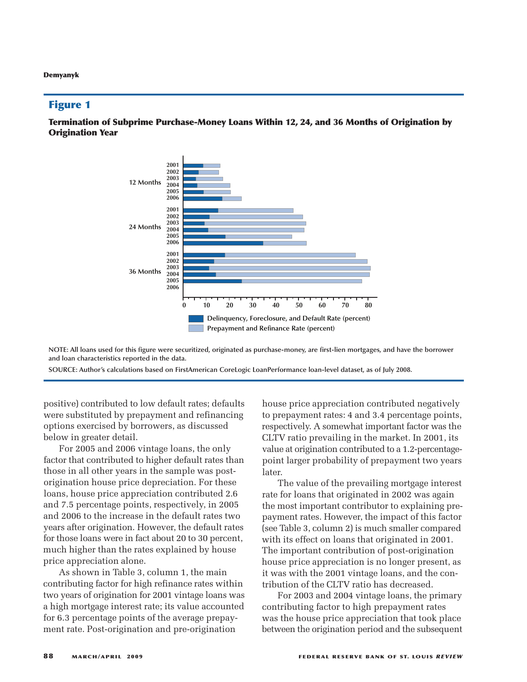#### **Figure 1**

**Termination of Subprime Purchase-Money Loans Within 12, 24, and 36 Months of Origination by Origination Year**



**NOTE: All loans used for this figure were securitized, originated as purchase-money, are first-lien mortgages, and have the borrower and loan characteristics reported in the data.**

**SOURCE: Author's calculations based on FirstAmerican CoreLogic LoanPerformance loan-level dataset, as of July 2008.**

positive) contributed to low default rates; defaults were substituted by prepayment and refinancing options exercised by borrowers, as discussed below in greater detail.

For 2005 and 2006 vintage loans, the only factor that contributed to higher default rates than those in all other years in the sample was postorigination house price depreciation. For these loans, house price appreciation contributed 2.6 and 7.5 percentage points, respectively, in 2005 and 2006 to the increase in the default rates two years after origination. However, the default rates for those loans were in fact about 20 to 30 percent, much higher than the rates explained by house price appreciation alone.

As shown in Table 3, column 1, the main contributing factor for high refinance rates within two years of origination for 2001 vintage loans was a high mortgage interest rate; its value accounted for 6.3 percentage points of the average prepayment rate. Post-origination and pre-origination

house price appreciation contributed negatively to prepayment rates: 4 and 3.4 percentage points, respectively. A somewhat important factor was the CLTV ratio prevailing in the market. In 2001, its value at origination contributed to a 1.2-percentagepoint larger probability of prepayment two years later.

The value of the prevailing mortgage interest rate for loans that originated in 2002 was again the most important contributor to explaining prepayment rates. However, the impact of this factor (see Table 3, column 2) is much smaller compared with its effect on loans that originated in 2001. The important contribution of post-origination house price appreciation is no longer present, as it was with the 2001 vintage loans, and the contribution of the CLTV ratio has decreased.

For 2003 and 2004 vintage loans, the primary contributing factor to high prepayment rates was the house price appreciation that took place between the origination period and the subsequent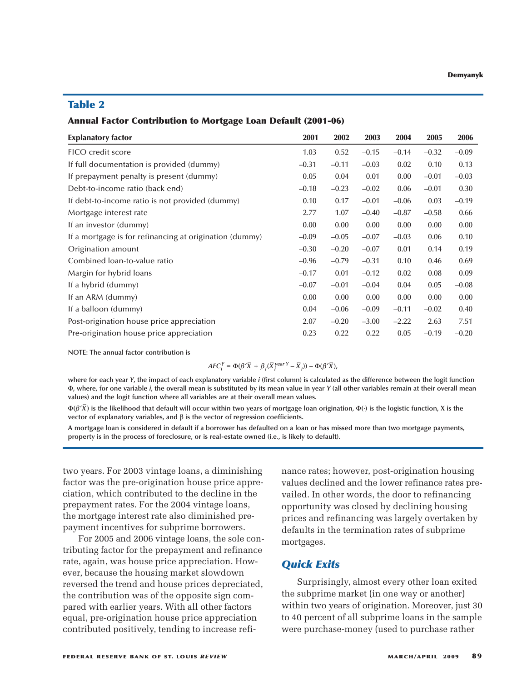## **Table 2**

#### **Annual Factor Contribution to Mortgage Loan Default (2001-06)**

| <b>Explanatory factor</b>                               | 2001    | 2002    | 2003    | 2004    | 2005    | 2006    |
|---------------------------------------------------------|---------|---------|---------|---------|---------|---------|
| FICO credit score                                       | 1.03    | 0.52    | $-0.15$ | $-0.14$ | $-0.32$ | $-0.09$ |
| If full documentation is provided (dummy)               | $-0.31$ | $-0.11$ | $-0.03$ | 0.02    | 0.10    | 0.13    |
| If prepayment penalty is present (dummy)                | 0.05    | 0.04    | 0.01    | 0.00    | $-0.01$ | $-0.03$ |
| Debt-to-income ratio (back end)                         | $-0.18$ | $-0.23$ | $-0.02$ | 0.06    | $-0.01$ | 0.30    |
| If debt-to-income ratio is not provided (dummy)         | 0.10    | 0.17    | $-0.01$ | $-0.06$ | 0.03    | $-0.19$ |
| Mortgage interest rate                                  | 2.77    | 1.07    | $-0.40$ | $-0.87$ | $-0.58$ | 0.66    |
| If an investor (dummy)                                  | 0.00    | 0.00    | 0.00    | 0.00    | 0.00    | 0.00    |
| If a mortgage is for refinancing at origination (dummy) | $-0.09$ | $-0.05$ | $-0.07$ | $-0.03$ | 0.06    | 0.10    |
| Origination amount                                      | $-0.30$ | $-0.20$ | $-0.07$ | 0.01    | 0.14    | 0.19    |
| Combined loan-to-value ratio                            | $-0.96$ | $-0.79$ | $-0.31$ | 0.10    | 0.46    | 0.69    |
| Margin for hybrid loans                                 | $-0.17$ | 0.01    | $-0.12$ | 0.02    | 0.08    | 0.09    |
| If a hybrid (dummy)                                     | $-0.07$ | $-0.01$ | $-0.04$ | 0.04    | 0.05    | $-0.08$ |
| If an ARM (dummy)                                       | 0.00    | 0.00    | 0.00    | 0.00    | 0.00    | 0.00    |
| If a balloon (dummy)                                    | 0.04    | $-0.06$ | $-0.09$ | $-0.11$ | $-0.02$ | 0.40    |
| Post-origination house price appreciation               | 2.07    | $-0.20$ | $-3.00$ | $-2.22$ | 2.63    | 7.51    |
| Pre-origination house price appreciation                | 0.23    | 0.22    | 0.22    | 0.05    | $-0.19$ | $-0.20$ |

**NOTE: The annual factor contribution is**

$$
AFC_i^Y = \Phi(\beta'\overline{X} + \beta_i(\overline{X}_i^{year Y} - \overline{X}_i)) - \Phi(\beta'\overline{X}),
$$

**where for each year** *Y***, the impact of each explanatory variable** *i* **(first column) is calculated as the difference between the logit function** Φ**, where, for one variable** *i***, the overall mean is substituted by its mean value in year** *Y* **(all other variables remain at their overall mean values) and the logit function where all variables are at their overall mean values.**

Φ**(**β ′*X* **–) is the likelihood that default will occur within two years of mortgage loan origination,** <sup>Φ</sup>**(.) is the logistic function, X is the vector of explanatory variables, and** β **is the vector of regression coefficients.**

**A mortgage loan is considered in default if a borrower has defaulted on a loan or has missed more than two mortgage payments, property is in the process of foreclosure, or is real-estate owned (i.e., is likely to default).**

two years. For 2003 vintage loans, a diminishing factor was the pre-origination house price appreciation, which contributed to the decline in the prepayment rates. For the 2004 vintage loans, the mortgage interest rate also diminished prepayment incentives for subprime borrowers.

For 2005 and 2006 vintage loans, the sole contributing factor for the prepayment and refinance rate, again, was house price appreciation. However, because the housing market slowdown reversed the trend and house prices depreciated, the contribution was of the opposite sign compared with earlier years. With all other factors equal, pre-origination house price appreciation contributed positively, tending to increase refinance rates; however, post-origination housing values declined and the lower refinance rates prevailed. In other words, the door to refinancing opportunity was closed by declining housing prices and refinancing was largely overtaken by defaults in the termination rates of subprime mortgages.

## *Quick Exits*

Surprisingly, almost every other loan exited the subprime market (in one way or another) within two years of origination. Moreover, just 30 to 40 percent of all subprime loans in the sample were purchase-money (used to purchase rather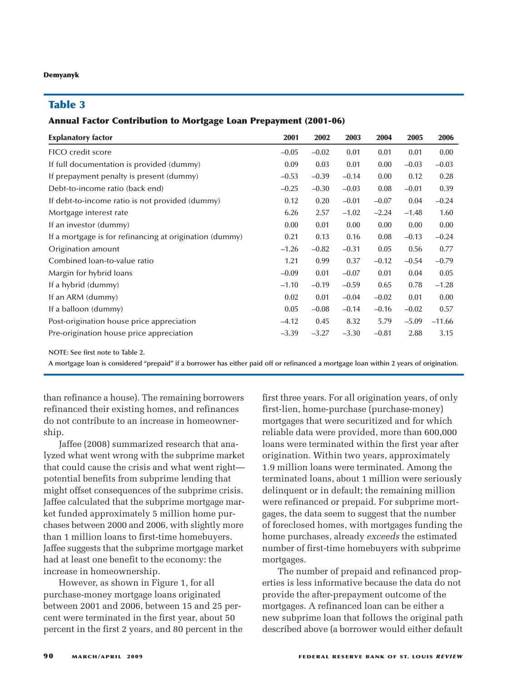## **Table 3**

## **Annual Factor Contribution to Mortgage Loan Prepayment (2001-06)**

| <b>Explanatory factor</b>                               | 2001    | 2002    | 2003    | 2004    | 2005    | 2006     |
|---------------------------------------------------------|---------|---------|---------|---------|---------|----------|
| FICO credit score                                       | $-0.05$ | $-0.02$ | 0.01    | 0.01    | 0.01    | 0.00     |
| If full documentation is provided (dummy)               | 0.09    | 0.03    | 0.01    | 0.00    | $-0.03$ | $-0.03$  |
| If prepayment penalty is present (dummy)                | $-0.53$ | $-0.39$ | $-0.14$ | 0.00    | 0.12    | 0.28     |
| Debt-to-income ratio (back end)                         | $-0.25$ | $-0.30$ | $-0.03$ | 0.08    | $-0.01$ | 0.39     |
| If debt-to-income ratio is not provided (dummy)         | 0.12    | 0.20    | $-0.01$ | $-0.07$ | 0.04    | $-0.24$  |
| Mortgage interest rate                                  | 6.26    | 2.57    | $-1.02$ | $-2.24$ | $-1.48$ | 1.60     |
| If an investor (dummy)                                  | 0.00    | 0.01    | 0.00    | 0.00    | 0.00    | 0.00     |
| If a mortgage is for refinancing at origination (dummy) | 0.21    | 0.13    | 0.16    | 0.08    | $-0.13$ | $-0.24$  |
| Origination amount                                      | $-1.26$ | $-0.82$ | $-0.31$ | 0.05    | 0.56    | 0.77     |
| Combined loan-to-value ratio                            | 1.21    | 0.99    | 0.37    | $-0.12$ | $-0.54$ | $-0.79$  |
| Margin for hybrid loans                                 | $-0.09$ | 0.01    | $-0.07$ | 0.01    | 0.04    | 0.05     |
| If a hybrid (dummy)                                     | $-1.10$ | $-0.19$ | $-0.59$ | 0.65    | 0.78    | $-1.28$  |
| If an ARM (dummy)                                       | 0.02    | 0.01    | $-0.04$ | $-0.02$ | 0.01    | 0.00     |
| If a balloon (dummy)                                    | 0.05    | $-0.08$ | $-0.14$ | $-0.16$ | $-0.02$ | 0.57     |
| Post-origination house price appreciation               | $-4.12$ | 0.45    | 8.32    | 5.79    | $-5.09$ | $-11.66$ |
| Pre-origination house price appreciation                | $-3.39$ | $-3.27$ | $-3.30$ | $-0.81$ | 2.88    | 3.15     |

**NOTE: See first note to Table 2.**

**A mortgage loan is considered "prepaid" if a borrower has either paid off or refinanced a mortgage loan within 2 years of origination.**

than refinance a house). The remaining borrowers refinanced their existing homes, and refinances do not contribute to an increase in homeownership.

Jaffee (2008) summarized research that analyzed what went wrong with the subprime market that could cause the crisis and what went right potential benefits from subprime lending that might offset consequences of the subprime crisis. Jaffee calculated that the subprime mortgage market funded approximately 5 million home purchases between 2000 and 2006, with slightly more than 1 million loans to first-time homebuyers. Jaffee suggests that the subprime mortgage market had at least one benefit to the economy: the increase in homeownership.

However, as shown in Figure 1, for all purchase-money mortgage loans originated between 2001 and 2006, between 15 and 25 percent were terminated in the first year, about 50 percent in the first 2 years, and 80 percent in the

first three years. For all origination years, of only first-lien, home-purchase (purchase-money) mortgages that were securitized and for which reliable data were provided, more than 600,000 loans were terminated within the first year after origination. Within two years, approximately 1.9 million loans were terminated. Among the terminated loans, about 1 million were seriously delinquent or in default; the remaining million were refinanced or prepaid. For subprime mortgages, the data seem to suggest that the number of foreclosed homes, with mortgages funding the home purchases, already *exceeds* the estimated number of first-time homebuyers with subprime mortgages.

The number of prepaid and refinanced properties is less informative because the data do not provide the after-prepayment outcome of the mortgages. A refinanced loan can be either a new subprime loan that follows the original path described above (a borrower would either default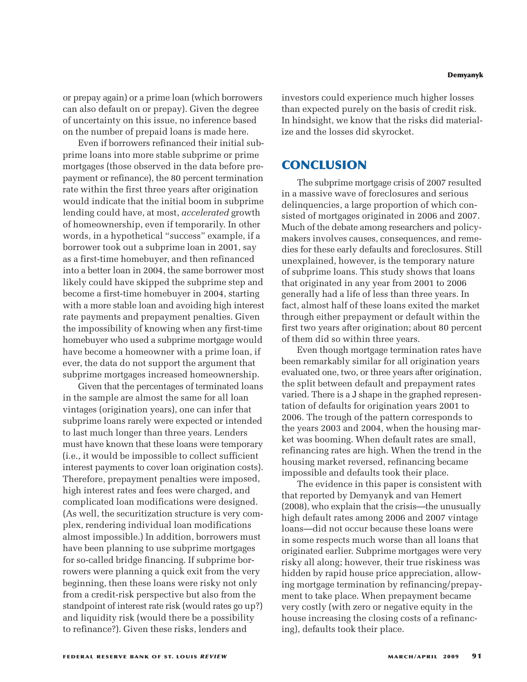or prepay again) or a prime loan (which borrowers can also default on or prepay). Given the degree of uncertainty on this issue, no inference based on the number of prepaid loans is made here.

Even if borrowers refinanced their initial subprime loans into more stable subprime or prime mortgages (those observed in the data before prepayment or refinance), the 80 percent termination rate within the first three years after origination would indicate that the initial boom in subprime lending could have, at most, *accelerated* growth of homeownership, even if temporarily. In other words, in a hypothetical "success" example, if a borrower took out a subprime loan in 2001, say as a first-time homebuyer, and then refinanced into a better loan in 2004, the same borrower most likely could have skipped the subprime step and become a first-time homebuyer in 2004, starting with a more stable loan and avoiding high interest rate payments and prepayment penalties. Given the impossibility of knowing when any first-time homebuyer who used a subprime mortgage would have become a homeowner with a prime loan, if ever, the data do not support the argument that subprime mortgages increased homeownership.

Given that the percentages of terminated loans in the sample are almost the same for all loan vintages (origination years), one can infer that subprime loans rarely were expected or intended to last much longer than three years. Lenders must have known that these loans were temporary (i.e., it would be impossible to collect sufficient interest payments to cover loan origination costs). Therefore, prepayment penalties were imposed, high interest rates and fees were charged, and complicated loan modifications were designed. (As well, the securitization structure is very complex, rendering individual loan modifications almost impossible.) In addition, borrowers must have been planning to use subprime mortgages for so-called bridge financing. If subprime borrowers were planning a quick exit from the very beginning, then these loans were risky not only from a credit-risk perspective but also from the standpoint of interest rate risk (would rates go up?) and liquidity risk (would there be a possibility to refinance?). Given these risks, lenders and

investors could experience much higher losses than expected purely on the basis of credit risk. In hindsight, we know that the risks did materialize and the losses did skyrocket.

## **CONCLUSION**

The subprime mortgage crisis of 2007 resulted in a massive wave of foreclosures and serious delinquencies, a large proportion of which consisted of mortgages originated in 2006 and 2007. Much of the debate among researchers and policymakers involves causes, consequences, and remedies for these early defaults and foreclosures. Still unexplained, however, is the temporary nature of subprime loans. This study shows that loans that originated in any year from 2001 to 2006 generally had a life of less than three years. In fact, almost half of these loans exited the market through either prepayment or default within the first two years after origination; about 80 percent of them did so within three years.

Even though mortgage termination rates have been remarkably similar for all origination years evaluated one, two, or three years after origination, the split between default and prepayment rates varied. There is a J shape in the graphed representation of defaults for origination years 2001 to 2006. The trough of the pattern corresponds to the years 2003 and 2004, when the housing market was booming. When default rates are small, refinancing rates are high. When the trend in the housing market reversed, refinancing became impossible and defaults took their place.

The evidence in this paper is consistent with that reported by Demyanyk and van Hemert (2008), who explain that the crisis—the unusually high default rates among 2006 and 2007 vintage loans—did not occur because these loans were in some respects much worse than all loans that originated earlier. Subprime mortgages were very risky all along; however, their true riskiness was hidden by rapid house price appreciation, allowing mortgage termination by refinancing/prepayment to take place. When prepayment became very costly (with zero or negative equity in the house increasing the closing costs of a refinancing), defaults took their place.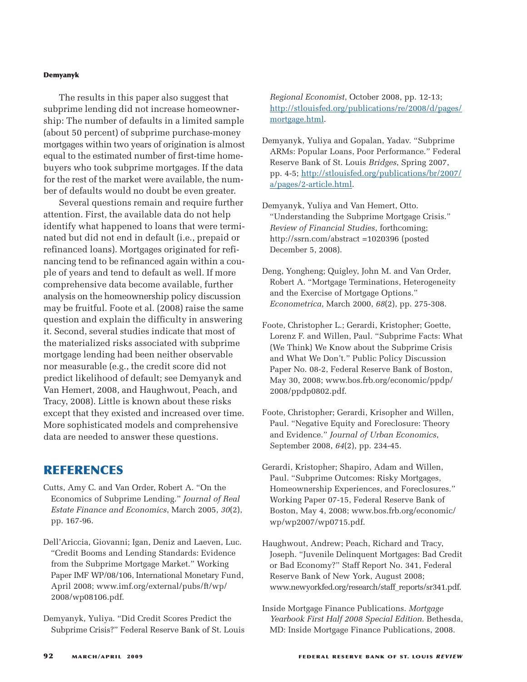The results in this paper also suggest that subprime lending did not increase homeownership: The number of defaults in a limited sample (about 50 percent) of subprime purchase-money mortgages within two years of origination is almost equal to the estimated number of first-time homebuyers who took subprime mortgages. If the data for the rest of the market were available, the number of defaults would no doubt be even greater.

Several questions remain and require further attention. First, the available data do not help identify what happened to loans that were terminated but did not end in default (i.e., prepaid or refinanced loans). Mortgages originated for refinancing tend to be refinanced again within a couple of years and tend to default as well. If more comprehensive data become available, further analysis on the homeownership policy discussion may be fruitful. Foote et al. (2008) raise the same question and explain the difficulty in answering it. Second, several studies indicate that most of the materialized risks associated with subprime mortgage lending had been neither observable nor measurable (e.g., the credit score did not predict likelihood of default; see Demyanyk and Van Hemert, 2008, and Haughwout, Peach, and Tracy, 2008). Little is known about these risks except that they existed and increased over time. More sophisticated models and comprehensive data are needed to answer these questions.

## **REFERENCES**

- Cutts, Amy C. and Van Order, Robert A. "On the Economics of Subprime Lending." *Journal of Real Estate Finance and Economics*, March 2005, *30*(2), pp. 167-96.
- Dell'Ariccia, Giovanni; Igan, Deniz and Laeven, Luc. "Credit Booms and Lending Standards: Evidence from the Subprime Mortgage Market." Working Paper IMF WP/08/106, International Monetary Fund, April 2008; www.imf.org/external/pubs/ft/wp/ 2008/wp08106.pdf.
- Demyanyk, Yuliya. "Did Credit Scores Predict the Subprime Crisis?" Federal Reserve Bank of St. Louis

*Regional Economist*, October 2008, pp. 12-13; [http://stlouisfed.org/publications/re/2008/d/pages/](http://stlouisfed.org/publications/re/2008/d/pages/mortgage.html) [mortgage.html.](http://stlouisfed.org/publications/re/2008/d/pages/mortgage.html)

- Demyanyk, Yuliya and Gopalan, Yadav. "Subprime ARMs: Popular Loans, Poor Performance." Federal Reserve Bank of St. Louis *Bridges*, Spring 2007, pp. 4-5; [http://stlouisfed.org/publications/br/2007/](http://stlouisfed.org/publications/br/2007/a/pages/2-article.html) [a/pages/2-article.html](http://stlouisfed.org/publications/br/2007/a/pages/2-article.html).
- Demyanyk, Yuliya and Van Hemert, Otto. "Understanding the Subprime Mortgage Crisis." *Review of Financial Studies*, forthcoming; http://ssrn.com/abstract =1020396 (posted December 5, 2008).
- Deng, Yongheng; Quigley, John M. and Van Order, Robert A. "Mortgage Terminations, Heterogeneity and the Exercise of Mortgage Options." *Econometrica*, March 2000, *68*(2), pp. 275-308.
- Foote, Christopher L.; Gerardi, Kristopher; Goette, Lorenz F. and Willen, Paul. "Subprime Facts: What (We Think) We Know about the Subprime Crisis and What We Don't." Public Policy Discussion Paper No. 08-2, Federal Reserve Bank of Boston, May 30, 2008; www.bos.frb.org/economic/ppdp/ 2008/ppdp0802.pdf.
- Foote, Christopher; Gerardi, Krisopher and Willen, Paul. "Negative Equity and Foreclosure: Theory and Evidence." *Journal of Urban Economics*, September 2008, *64*(2), pp. 234-45.
- Gerardi, Kristopher; Shapiro, Adam and Willen, Paul. "Subprime Outcomes: Risky Mortgages, Homeownership Experiences, and Foreclosures." Working Paper 07-15, Federal Reserve Bank of Boston, May 4, 2008; www.bos.frb.org/economic/ wp/wp2007/wp0715.pdf.
- Haughwout, Andrew; Peach, Richard and Tracy, Joseph. "Juvenile Delinquent Mortgages: Bad Credit or Bad Economy?" Staff Report No. 341, Federal Reserve Bank of New York, August 2008; www.newyorkfed.org/research/staff\_reports/sr341.pdf.
- Inside Mortgage Finance Publications. *Mortgage Yearbook First Half 2008 Special Edition*. Bethesda, MD: Inside Mortgage Finance Publications, 2008.